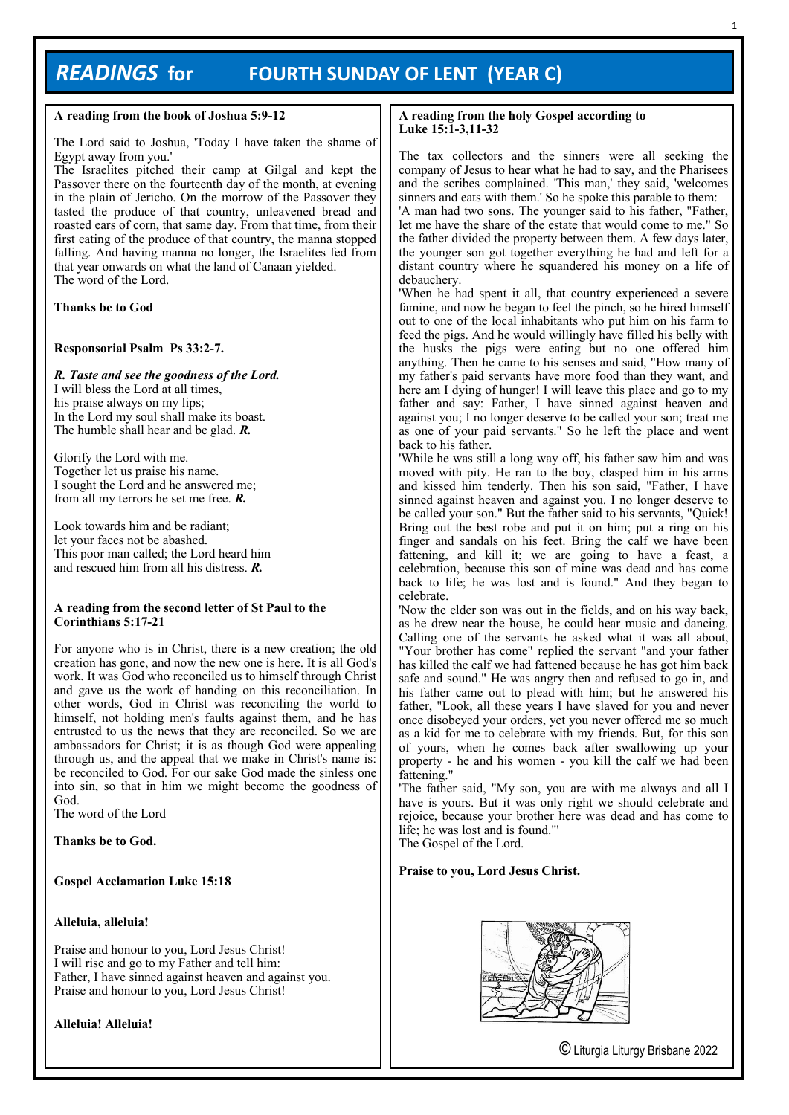# *READINGS* **for FOURTH SUNDAY OF LENT (YEAR C)**

### **A reading from the book of Joshua 5:9-12**

The Lord said to Joshua, 'Today I have taken the shame of Egypt away from you.'

The Israelites pitched their camp at Gilgal and kept the Passover there on the fourteenth day of the month, at evening in the plain of Jericho. On the morrow of the Passover they tasted the produce of that country, unleavened bread and roasted ears of corn, that same day. From that time, from their first eating of the produce of that country, the manna stopped falling. And having manna no longer, the Israelites fed from that year onwards on what the land of Canaan yielded. The word of the Lord.

**Thanks be to God**

### **Responsorial Psalm Ps 33:2-7.**

*R. Taste and see the goodness of the Lord.* I will bless the Lord at all times, his praise always on my lips; In the Lord my soul shall make its boast. The humble shall hear and be glad. *R.*

Glorify the Lord with me. Together let us praise his name. I sought the Lord and he answered me; from all my terrors he set me free. *R.*

Look towards him and be radiant; let your faces not be abashed. This poor man called; the Lord heard him and rescued him from all his distress. *R.*

### **A reading from the second letter of St Paul to the Corinthians 5:17-21**

For anyone who is in Christ, there is a new creation; the old creation has gone, and now the new one is here. It is all God's work. It was God who reconciled us to himself through Christ and gave us the work of handing on this reconciliation. In other words, God in Christ was reconciling the world to himself, not holding men's faults against them, and he has entrusted to us the news that they are reconciled. So we are ambassadors for Christ; it is as though God were appealing through us, and the appeal that we make in Christ's name is: be reconciled to God. For our sake God made the sinless one into sin, so that in him we might become the goodness of God.

The word of the Lord

**Thanks be to God.**

**Gospel Acclamation Luke 15:18** 

### **Alleluia, alleluia!**

Praise and honour to you, Lord Jesus Christ! I will rise and go to my Father and tell him: Father, I have sinned against heaven and against you. Praise and honour to you, Lord Jesus Christ!

### **Alleluia! Alleluia!**

### **A reading from the holy Gospel according to Luke 15:1-3,11-32**

The tax collectors and the sinners were all seeking the company of Jesus to hear what he had to say, and the Pharisees and the scribes complained. 'This man,' they said, 'welcomes sinners and eats with them.' So he spoke this parable to them: 'A man had two sons. The younger said to his father, "Father, let me have the share of the estate that would come to me." So the father divided the property between them. A few days later, the younger son got together everything he had and left for a distant country where he squandered his money on a life of debauchery.

'When he had spent it all, that country experienced a severe famine, and now he began to feel the pinch, so he hired himself out to one of the local inhabitants who put him on his farm to feed the pigs. And he would willingly have filled his belly with the husks the pigs were eating but no one offered him anything. Then he came to his senses and said, "How many of my father's paid servants have more food than they want, and here am I dying of hunger! I will leave this place and go to my father and say: Father, I have sinned against heaven and against you; I no longer deserve to be called your son; treat me as one of your paid servants." So he left the place and went back to his father.

'While he was still a long way off, his father saw him and was moved with pity. He ran to the boy, clasped him in his arms and kissed him tenderly. Then his son said, "Father, I have sinned against heaven and against you. I no longer deserve to be called your son." But the father said to his servants, "Quick! Bring out the best robe and put it on him; put a ring on his finger and sandals on his feet. Bring the calf we have been fattening, and kill it; we are going to have a feast, a celebration, because this son of mine was dead and has come back to life; he was lost and is found." And they began to celebrate.

'Now the elder son was out in the fields, and on his way back, as he drew near the house, he could hear music and dancing. Calling one of the servants he asked what it was all about, "Your brother has come" replied the servant "and your father has killed the calf we had fattened because he has got him back safe and sound." He was angry then and refused to go in, and his father came out to plead with him; but he answered his father, "Look, all these years I have slaved for you and never once disobeyed your orders, yet you never offered me so much as a kid for me to celebrate with my friends. But, for this son of yours, when he comes back after swallowing up your property - he and his women - you kill the calf we had been fattening."

'The father said, "My son, you are with me always and all I have is yours. But it was only right we should celebrate and rejoice, because your brother here was dead and has come to life; he was lost and is found."'

The Gospel of the Lord.

### **Praise to you, Lord Jesus Christ.**



1

© Liturgia Liturgy Brisbane 2022